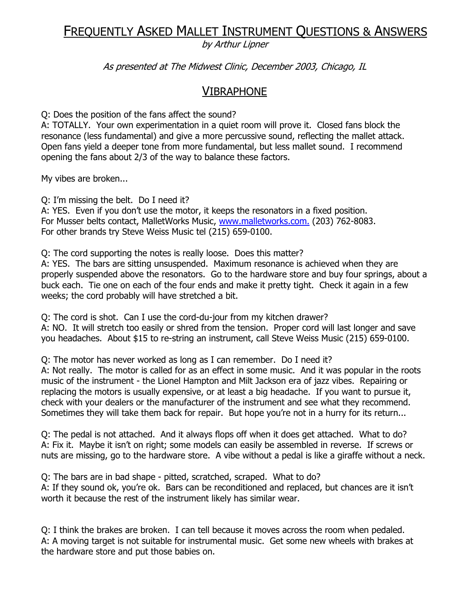# FREQUENTLY ASKED MALLET INSTRUMENT QUESTIONS & ANSWERS

by Arthur Lipner

As presented at The Midwest Clinic, December 2003, Chicago, IL

## VIBRAPHONE

Q: Does the position of the fans affect the sound?

A: TOTALLY. Your own experimentation in a quiet room will prove it. Closed fans block the resonance (less fundamental) and give a more percussive sound, reflecting the mallet attack. Open fans yield a deeper tone from more fundamental, but less mallet sound. I recommend opening the fans about 2/3 of the way to balance these factors.

My vibes are broken...

Q: I'm missing the belt. Do I need it?

A: YES. Even if you don't use the motor, it keeps the resonators in a fixed position. For Musser belts contact, MalletWorks Music, www.malletworks.com. (203) 762-8083. For other brands try Steve Weiss Music tel (215) 659-0100.

Q: The cord supporting the notes is really loose. Does this matter?

A: YES. The bars are sitting unsuspended. Maximum resonance is achieved when they are properly suspended above the resonators. Go to the hardware store and buy four springs, about a buck each. Tie one on each of the four ends and make it pretty tight. Check it again in a few weeks; the cord probably will have stretched a bit.

Q: The cord is shot. Can I use the cord-du-jour from my kitchen drawer? A: NO. It will stretch too easily or shred from the tension. Proper cord will last longer and save you headaches. About \$15 to re-string an instrument, call Steve Weiss Music (215) 659-0100.

Q: The motor has never worked as long as I can remember. Do I need it? A: Not really. The motor is called for as an effect in some music. And it was popular in the roots music of the instrument - the Lionel Hampton and Milt Jackson era of jazz vibes. Repairing or replacing the motors is usually expensive, or at least a big headache. If you want to pursue it, check with your dealers or the manufacturer of the instrument and see what they recommend. Sometimes they will take them back for repair. But hope you're not in a hurry for its return...

Q: The pedal is not attached. And it always flops off when it does get attached. What to do? A: Fix it. Maybe it isn't on right; some models can easily be assembled in reverse. If screws or nuts are missing, go to the hardware store. A vibe without a pedal is like a giraffe without a neck.

Q: The bars are in bad shape - pitted, scratched, scraped. What to do? A: If they sound ok, you're ok. Bars can be reconditioned and replaced, but chances are it isn't worth it because the rest of the instrument likely has similar wear.

Q: I think the brakes are broken. I can tell because it moves across the room when pedaled. A: A moving target is not suitable for instrumental music. Get some new wheels with brakes at the hardware store and put those babies on.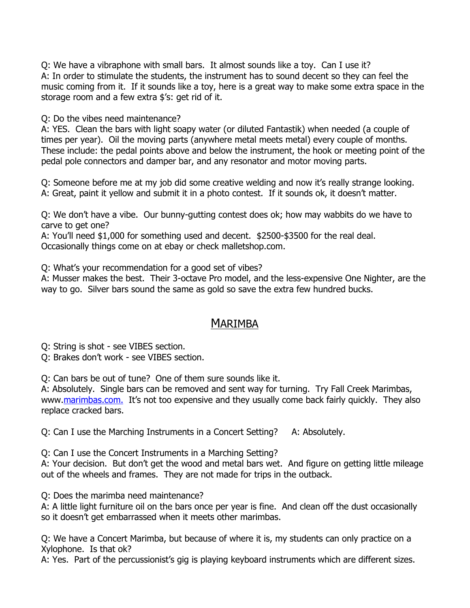Q: We have a vibraphone with small bars. It almost sounds like a toy. Can I use it? A: In order to stimulate the students, the instrument has to sound decent so they can feel the music coming from it. If it sounds like a toy, here is a great way to make some extra space in the storage room and a few extra \$'s: get rid of it.

Q: Do the vibes need maintenance?

A: YES. Clean the bars with light soapy water (or diluted Fantastik) when needed (a couple of times per year). Oil the moving parts (anywhere metal meets metal) every couple of months. These include: the pedal points above and below the instrument, the hook or meeting point of the pedal pole connectors and damper bar, and any resonator and motor moving parts.

Q: Someone before me at my job did some creative welding and now it's really strange looking. A: Great, paint it yellow and submit it in a photo contest. If it sounds ok, it doesn't matter.

Q: We don't have a vibe. Our bunny-gutting contest does ok; how may wabbits do we have to carve to get one?

A: You'll need \$1,000 for something used and decent. \$2500-\$3500 for the real deal. Occasionally things come on at ebay or check malletshop.com.

Q: What's your recommendation for a good set of vibes?

A: Musser makes the best. Their 3-octave Pro model, and the less-expensive One Nighter, are the way to go. Silver bars sound the same as gold so save the extra few hundred bucks.

## MARIMBA

Q: String is shot - see VIBES section.

Q: Brakes don't work - see VIBES section.

Q: Can bars be out of tune? One of them sure sounds like it.

A: Absolutely. Single bars can be removed and sent way for turning. Try Fall Creek Marimbas, www.marimbas.com. It's not too expensive and they usually come back fairly quickly. They also replace cracked bars.

Q: Can I use the Marching Instruments in a Concert Setting? A: Absolutely.

Q: Can I use the Concert Instruments in a Marching Setting?

A: Your decision. But don't get the wood and metal bars wet. And figure on getting little mileage out of the wheels and frames. They are not made for trips in the outback.

Q: Does the marimba need maintenance?

A: A little light furniture oil on the bars once per year is fine. And clean off the dust occasionally so it doesn't get embarrassed when it meets other marimbas.

Q: We have a Concert Marimba, but because of where it is, my students can only practice on a Xylophone. Is that ok?

A: Yes. Part of the percussionist's gig is playing keyboard instruments which are different sizes.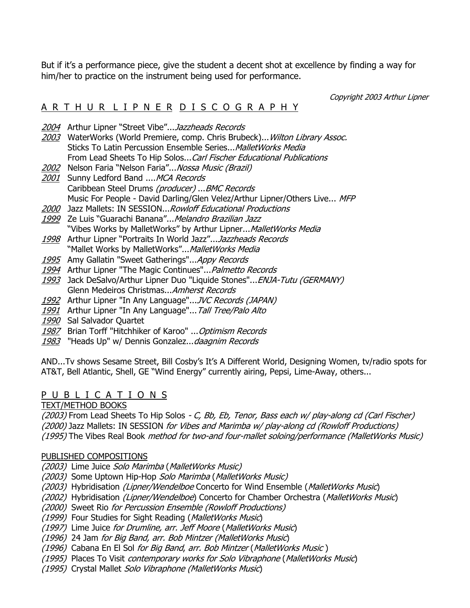But if it's a performance piece, give the student a decent shot at excellence by finding a way for him/her to practice on the instrument being used for performance.

Copyright 2003 Arthur Lipner

### A R T H U R L I P N E R D I S C O G R A P H Y

- 2004 Arthur Lipner "Street Vibe"...Jazzheads Records
- 2003 WaterWorks (World Premiere, comp. Chris Brubeck)... Wilton Library Assoc. Sticks To Latin Percussion Ensemble Series... Mallet Works Media From Lead Sheets To Hip Solos... Carl Fischer Educational Publications
- 2002 Nelson Faria "Nelson Faria"... Nossa Music (Brazil)
- 2001 Sunny Ledford Band .... MCA Records Caribbean Steel Drums (producer) ...BMC Records Music For People - David Darling/Glen Velez/Arthur Lipner/Others Live... MFP
- 2000 Jazz Mallets: IN SESSION...Rowloff Educational Productions
- 1999 Ze Luis "Guarachi Banana"... Melandro Brazilian Jazz "Vibes Works by MalletWorks" by Arthur Lipner... MalletWorks Media
- 1998 Arthur Lipner "Portraits In World Jazz"...Jazzheads Records "Mallet Works by MalletWorks"... MalletWorks Media
- 1995 Amy Gallatin "Sweet Gatherings"... Appy Records
- 1994 Arthur Lipner "The Magic Continues"... Palmetto Records
- 1993 Jack DeSalvo/Arthur Lipner Duo "Liquide Stones"... ENJA-Tutu (GERMANY) Glenn Medeiros Christmas...Amherst Records
- 1992 Arthur Lipner "In Any Language"...JVC Records (JAPAN)
- 1991 Arthur Lipner "In Any Language"... Tall Tree/Palo Alto
- 1990 Sal Salvador Quartet
- 1987 Brian Torff "Hitchhiker of Karoo" ... Optimism Records
- 1983 "Heads Up" w/ Dennis Gonzalez... daagnim Records

AND...Tv shows Sesame Street, Bill Cosby's It's A Different World, Designing Women, tv/radio spots for AT&T, Bell Atlantic, Shell, GE "Wind Energy" currently airing, Pepsi, Lime-Away, others...

#### P U B L I C A T I O N S

TEXT/METHOD BOOKS

(2003) From Lead Sheets To Hip Solos - C, Bb, Eb, Tenor, Bass each w/ play-along cd (Carl Fischer) (2000) Jazz Mallets: IN SESSION for Vibes and Marimba w/ play-along cd (Rowloff Productions) (1995) The Vibes Real Book method for two-and four-mallet soloing/performance (MalletWorks Music)

#### PUBLISHED COMPOSITIONS

(2003) Lime Juice Solo Marimba (MalletWorks Music)

- (2003) Some Uptown Hip-Hop Solo Marimba (MalletWorks Music)
- (2003) Hybridisation (Lipner/Wendelboe Concerto for Wind Ensemble (MalletWorks Music)
- (2002) Hybridisation (Lipner/Wendelboe) Concerto for Chamber Orchestra (MalletWorks Music)
- (2000) Sweet Rio for Percussion Ensemble (Rowloff Productions)
- (1999) Four Studies for Sight Reading (MalletWorks Music)
- (1997) Lime Juice for Drumline, arr. Jeff Moore (MalletWorks Music)
- (1996) 24 Jam for Big Band, arr. Bob Mintzer (MalletWorks Music)
- (1996) Cabana En El Sol for Big Band, arr. Bob Mintzer (MalletWorks Music )
- (1995) Places To Visit contemporary works for Solo Vibraphone (MalletWorks Music)
- (1995) Crystal Mallet Solo Vibraphone (MalletWorks Music)